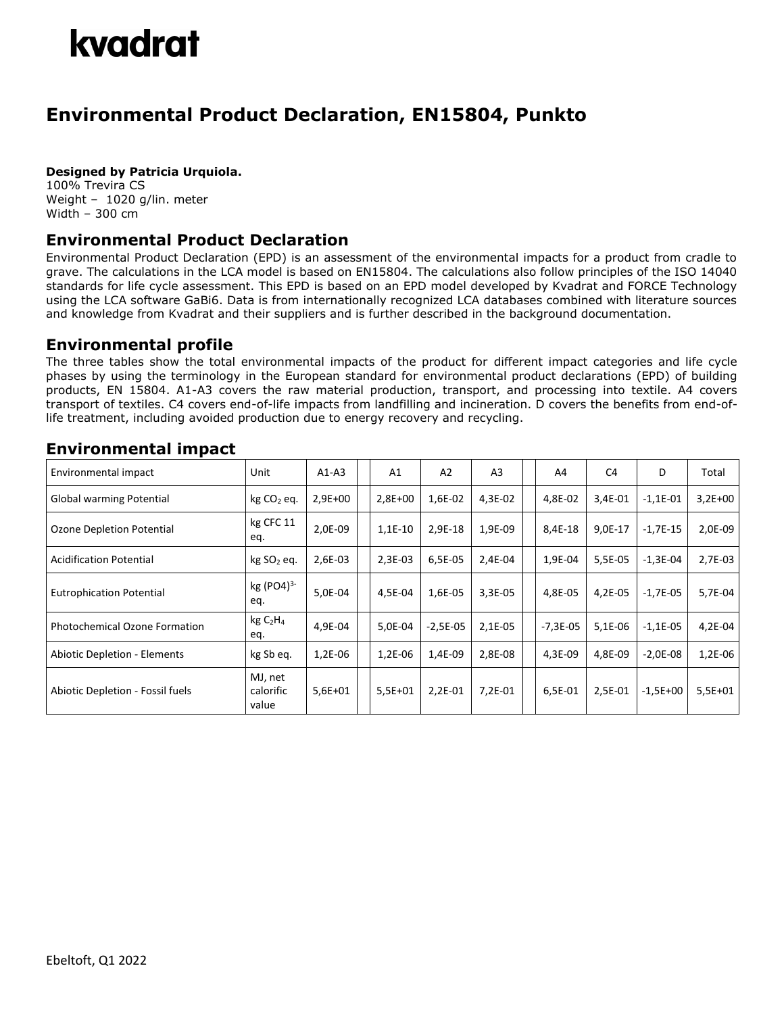# kvadrat

## **Environmental Product Declaration, EN15804, Punkto**

#### **Designed by Patricia Urquiola.**

100% Trevira CS Weight – 1020 g/lin. meter Width – 300 cm

### **Environmental Product Declaration**

Environmental Product Declaration (EPD) is an assessment of the environmental impacts for a product from cradle to grave. The calculations in the LCA model is based on EN15804. The calculations also follow principles of the ISO 14040 standards for life cycle assessment. This EPD is based on an EPD model developed by Kvadrat and FORCE Technology using the LCA software GaBi6. Data is from internationally recognized LCA databases combined with literature sources and knowledge from Kvadrat and their suppliers and is further described in the background documentation.

#### **Environmental profile**

The three tables show the total environmental impacts of the product for different impact categories and life cycle phases by using the terminology in the European standard for environmental product declarations (EPD) of building products, EN 15804. A1-A3 covers the raw material production, transport, and processing into textile. A4 covers transport of textiles. C4 covers end-of-life impacts from landfilling and incineration. D covers the benefits from end-oflife treatment, including avoided production due to energy recovery and recycling.

#### Environmental impact  $\vert$  Unit  $\vert$  A1-A3  $\vert$  A1  $\vert$  A2  $\vert$  A3  $\vert$   $\vert$  A4  $\vert$  C4  $\vert$  D  $\vert$  Total Global warming Potential kg CO<sup>2</sup> eq. 2,9E+00 2,8E+00 1,6E-02 4,3E-02 4,8E-02 3,4E-01 -1,1E-01 3,2E+00 Ozone Depletion Potential kg CFC 11 eq. 2,0E-09 | | 1,1E-10 | 2,9E-18 | 1,9E-09 | | 8,4E-18 | 9,0E-17 | -1,7E-15 | 2,0E-09 Acidification Potential | kg SO<sub>2</sub> eq. | 2,6E-03 | 1,3E-03 | 6,5E-05 | 2,4E-04 | 1,9E-04 | 5,5E-05 | -1,3E-04 | 2,7E-03 Eutrophication Potential  $\begin{matrix} \text{kg (PO4)}^{3-1} \end{matrix}$ eq. 5,0E-04 4,5E-04 1,6E-05 3,3E-05 4,8E-05 4,2E-05 -1,7E-05 5,7E-04 Photochemical Ozone Formation  $\left[\begin{array}{cc} \text{kg C}_2\text{H}_4 \end{array}\right]$ eq. 4,9E-04 | 5,0E-04 -2,5E-05 | 2,1E-05 | |-7,3E-05 | 5,1E-06 | -1,1E-05 | 4,2E-04 Abiotic Depletion - Elements | kg Sb eq. | 1,2E-06 | 1,2E-06 | 1,4E-09 | 2,8E-08 | | 4,3E-09 | 4,8E-09 | -2,0E-08 | 1,2E-06 Abiotic Depletion - Fossil fuels MJ, net calorific value 5,6E+01 5,5E+01 2,2E-01 7,2E-01 6,5E-01 2,5E-01 -1,5E+00 5,5E+01

### **Environmental impact**